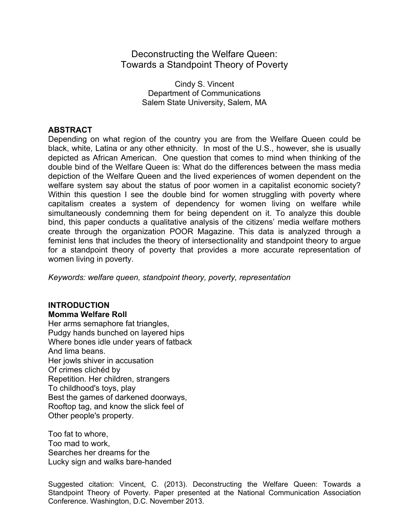# Deconstructing the Welfare Queen: Towards a Standpoint Theory of Poverty

Cindy S. Vincent Department of Communications Salem State University, Salem, MA

# **ABSTRACT**

Depending on what region of the country you are from the Welfare Queen could be black, white, Latina or any other ethnicity. In most of the U.S., however, she is usually depicted as African American. One question that comes to mind when thinking of the double bind of the Welfare Queen is: What do the differences between the mass media depiction of the Welfare Queen and the lived experiences of women dependent on the welfare system say about the status of poor women in a capitalist economic society? Within this question I see the double bind for women struggling with poverty where capitalism creates a system of dependency for women living on welfare while simultaneously condemning them for being dependent on it. To analyze this double bind, this paper conducts a qualitative analysis of the citizens' media welfare mothers create through the organization POOR Magazine. This data is analyzed through a feminist lens that includes the theory of intersectionality and standpoint theory to argue for a standpoint theory of poverty that provides a more accurate representation of women living in poverty.

*Keywords: welfare queen, standpoint theory, poverty, representation*

# **INTRODUCTION Momma Welfare Roll**

Her arms semaphore fat triangles, Pudgy hands bunched on layered hips Where bones idle under years of fatback And lima beans. Her jowls shiver in accusation Of crimes clichéd by Repetition. Her children, strangers To childhood's toys, play Best the games of darkened doorways, Rooftop tag, and know the slick feel of Other people's property.

Too fat to whore, Too mad to work, Searches her dreams for the Lucky sign and walks bare-handed

Suggested citation: Vincent, C. (2013). Deconstructing the Welfare Queen: Towards a Standpoint Theory of Poverty. Paper presented at the National Communication Association Conference. Washington, D.C. November 2013.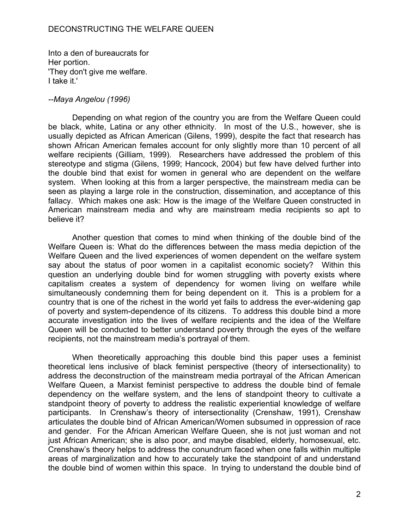Into a den of bureaucrats for Her portion. 'They don't give me welfare. I take it.'

#### *--Maya Angelou (1996)*

Depending on what region of the country you are from the Welfare Queen could be black, white, Latina or any other ethnicity. In most of the U.S., however, she is usually depicted as African American (Gilens, 1999), despite the fact that research has shown African American females account for only slightly more than 10 percent of all welfare recipients (Gilliam, 1999). Researchers have addressed the problem of this stereotype and stigma (Gilens, 1999; Hancock, 2004) but few have delved further into the double bind that exist for women in general who are dependent on the welfare system. When looking at this from a larger perspective, the mainstream media can be seen as playing a large role in the construction, dissemination, and acceptance of this fallacy. Which makes one ask: How is the image of the Welfare Queen constructed in American mainstream media and why are mainstream media recipients so apt to believe it?

Another question that comes to mind when thinking of the double bind of the Welfare Queen is: What do the differences between the mass media depiction of the Welfare Queen and the lived experiences of women dependent on the welfare system say about the status of poor women in a capitalist economic society? Within this question an underlying double bind for women struggling with poverty exists where capitalism creates a system of dependency for women living on welfare while simultaneously condemning them for being dependent on it. This is a problem for a country that is one of the richest in the world yet fails to address the ever-widening gap of poverty and system-dependence of its citizens. To address this double bind a more accurate investigation into the lives of welfare recipients and the idea of the Welfare Queen will be conducted to better understand poverty through the eyes of the welfare recipients, not the mainstream media's portrayal of them.

When theoretically approaching this double bind this paper uses a feminist theoretical lens inclusive of black feminist perspective (theory of intersectionality) to address the deconstruction of the mainstream media portrayal of the African American Welfare Queen, a Marxist feminist perspective to address the double bind of female dependency on the welfare system, and the lens of standpoint theory to cultivate a standpoint theory of poverty to address the realistic experiential knowledge of welfare participants. In Crenshaw's theory of intersectionality (Crenshaw, 1991), Crenshaw articulates the double bind of African American/Women subsumed in oppression of race and gender. For the African American Welfare Queen, she is not just woman and not just African American; she is also poor, and maybe disabled, elderly, homosexual, etc. Crenshaw's theory helps to address the conundrum faced when one falls within multiple areas of marginalization and how to accurately take the standpoint of and understand the double bind of women within this space. In trying to understand the double bind of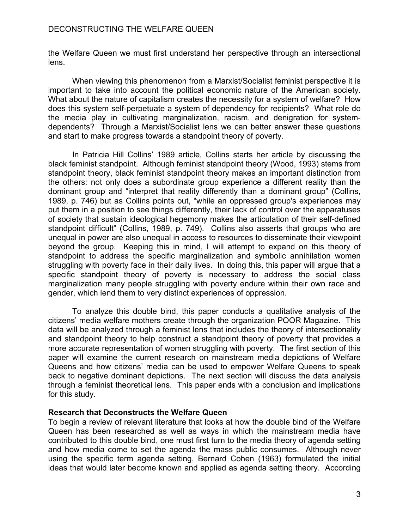the Welfare Queen we must first understand her perspective through an intersectional lens.

When viewing this phenomenon from a Marxist/Socialist feminist perspective it is important to take into account the political economic nature of the American society. What about the nature of capitalism creates the necessity for a system of welfare? How does this system self-perpetuate a system of dependency for recipients? What role do the media play in cultivating marginalization, racism, and denigration for systemdependents? Through a Marxist/Socialist lens we can better answer these questions and start to make progress towards a standpoint theory of poverty.

In Patricia Hill Collins' 1989 article, Collins starts her article by discussing the black feminist standpoint. Although feminist standpoint theory (Wood, 1993) stems from standpoint theory, black feminist standpoint theory makes an important distinction from the others: not only does a subordinate group experience a different reality than the dominant group and "interpret that reality differently than a dominant group" (Collins, 1989, p. 746) but as Collins points out, "while an oppressed group's experiences may put them in a position to see things differently, their lack of control over the apparatuses of society that sustain ideological hegemony makes the articulation of their self-defined standpoint difficult" (Collins, 1989, p. 749). Collins also asserts that groups who are unequal in power are also unequal in access to resources to disseminate their viewpoint beyond the group. Keeping this in mind, I will attempt to expand on this theory of standpoint to address the specific marginalization and symbolic annihilation women struggling with poverty face in their daily lives. In doing this, this paper will argue that a specific standpoint theory of poverty is necessary to address the social class marginalization many people struggling with poverty endure within their own race and gender, which lend them to very distinct experiences of oppression.

To analyze this double bind, this paper conducts a qualitative analysis of the citizens' media welfare mothers create through the organization POOR Magazine. This data will be analyzed through a feminist lens that includes the theory of intersectionality and standpoint theory to help construct a standpoint theory of poverty that provides a more accurate representation of women struggling with poverty. The first section of this paper will examine the current research on mainstream media depictions of Welfare Queens and how citizens' media can be used to empower Welfare Queens to speak back to negative dominant depictions. The next section will discuss the data analysis through a feminist theoretical lens. This paper ends with a conclusion and implications for this study.

#### **Research that Deconstructs the Welfare Queen**

To begin a review of relevant literature that looks at how the double bind of the Welfare Queen has been researched as well as ways in which the mainstream media have contributed to this double bind, one must first turn to the media theory of agenda setting and how media come to set the agenda the mass public consumes. Although never using the specific term agenda setting, Bernard Cohen (1963) formulated the initial ideas that would later become known and applied as agenda setting theory. According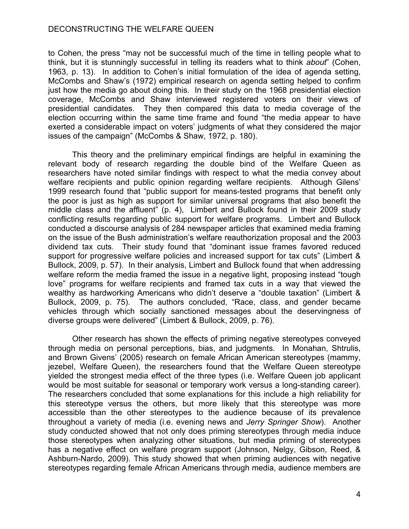to Cohen, the press "may not be successful much of the time in telling people what to think, but it is stunningly successful in telling its readers what to think *about*" (Cohen, 1963, p. 13). In addition to Cohen's initial formulation of the idea of agenda setting, McCombs and Shaw's (1972) empirical research on agenda setting helped to confirm just how the media go about doing this. In their study on the 1968 presidential election coverage, McCombs and Shaw interviewed registered voters on their views of presidential candidates. They then compared this data to media coverage of the election occurring within the same time frame and found "the media appear to have exerted a considerable impact on voters' judgments of what they considered the major issues of the campaign" (McCombs & Shaw, 1972, p. 180).

This theory and the preliminary empirical findings are helpful in examining the relevant body of research regarding the double bind of the Welfare Queen as researchers have noted similar findings with respect to what the media convey about welfare recipients and public opinion regarding welfare recipients. Although Gilens' 1999 research found that "public support for means-tested programs that benefit only the poor is just as high as support for similar universal programs that also benefit the middle class and the affluent" (p. 4), Limbert and Bullock found in their 2009 study conflicting results regarding public support for welfare programs. Limbert and Bullock conducted a discourse analysis of 284 newspaper articles that examined media framing on the issue of the Bush administration's welfare reauthorization proposal and the 2003 dividend tax cuts. Their study found that "dominant issue frames favored reduced support for progressive welfare policies and increased support for tax cuts" (Limbert & Bullock, 2009, p. 57). In their analysis, Limbert and Bullock found that when addressing welfare reform the media framed the issue in a negative light, proposing instead "tough love" programs for welfare recipients and framed tax cuts in a way that viewed the wealthy as hardworking Americans who didn't deserve a "double taxation" (Limbert & Bullock, 2009, p. 75). The authors concluded, "Race, class, and gender became vehicles through which socially sanctioned messages about the deservingness of diverse groups were delivered" (Limbert & Bullock, 2009, p. 76).

Other research has shown the effects of priming negative stereotypes conveyed through media on personal perceptions, bias, and judgments. In Monahan, Shtrulis, and Brown Givens' (2005) research on female African American stereotypes (mammy, jezebel, Welfare Queen), the researchers found that the Welfare Queen stereotype yielded the strongest media effect of the three types (i.e. Welfare Queen job applicant would be most suitable for seasonal or temporary work versus a long-standing career). The researchers concluded that some explanations for this include a high reliability for this stereotype versus the others, but more likely that this stereotype was more accessible than the other stereotypes to the audience because of its prevalence throughout a variety of media (i.e. evening news and *Jerry Springer Show*). Another study conducted showed that not only does priming stereotypes through media induce those stereotypes when analyzing other situations, but media priming of stereotypes has a negative effect on welfare program support (Johnson, Nelgy, Gibson, Reed, & Ashburn-Nardo, 2009). This study showed that when priming audiences with negative stereotypes regarding female African Americans through media, audience members are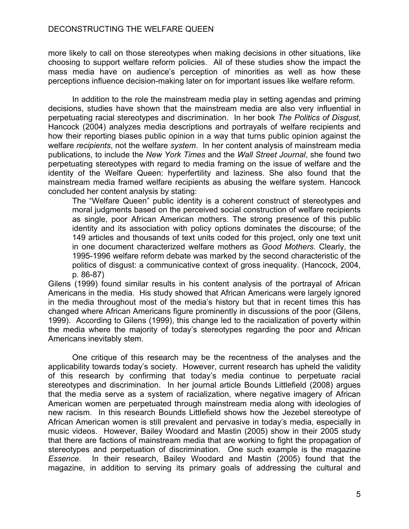more likely to call on those stereotypes when making decisions in other situations, like choosing to support welfare reform policies. All of these studies show the impact the mass media have on audience's perception of minorities as well as how these perceptions influence decision-making later on for important issues like welfare reform.

In addition to the role the mainstream media play in setting agendas and priming decisions, studies have shown that the mainstream media are also very influential in perpetuating racial stereotypes and discrimination. In her book *The Politics of Disgust*, Hancock (2004) analyzes media descriptions and portrayals of welfare recipients and how their reporting biases public opinion in a way that turns public opinion against the welfare *recipients*, not the welfare *system*. In her content analysis of mainstream media publications, to include the *New York Times* and the *Wall Street Journal*, she found two perpetuating stereotypes with regard to media framing on the issue of welfare and the identity of the Welfare Queen: hyperfertility and laziness. She also found that the mainstream media framed welfare recipients as abusing the welfare system. Hancock concluded her content analysis by stating:

The "Welfare Queen" public identity is a coherent construct of stereotypes and moral judgments based on the perceived social construction of welfare recipients as single, poor African American mothers. The strong presence of this public identity and its association with policy options dominates the discourse; of the 149 articles and thousands of text units coded for this project, only one text unit in one document characterized welfare mothers as *Good Mothers*. Clearly, the 1995-1996 welfare reform debate was marked by the second characteristic of the politics of disgust: a communicative context of gross inequality. (Hancock, 2004, p. 86-87)

Gilens (1999) found similar results in his content analysis of the portrayal of African Americans in the media. His study showed that African Americans were largely ignored in the media throughout most of the media's history but that in recent times this has changed where African Americans figure prominently in discussions of the poor (Gilens, 1999). According to Gilens (1999), this change led to the racialization of poverty within the media where the majority of today's stereotypes regarding the poor and African Americans inevitably stem.

One critique of this research may be the recentness of the analyses and the applicability towards today's society. However, current research has upheld the validity of this research by confirming that today's media continue to perpetuate racial stereotypes and discrimination. In her journal article Bounds Littlefield (2008) argues that the media serve as a system of racialization, where negative imagery of African American women are perpetuated through mainstream media along with ideologies of new racism. In this research Bounds Littlefield shows how the Jezebel stereotype of African American women is still prevalent and pervasive in today's media, especially in music videos. However, Bailey Woodard and Mastin (2005) show in their 2005 study that there are factions of mainstream media that are working to fight the propagation of stereotypes and perpetuation of discrimination. One such example is the magazine *Essence*. In their research, Bailey Woodard and Mastin (2005) found that the magazine, in addition to serving its primary goals of addressing the cultural and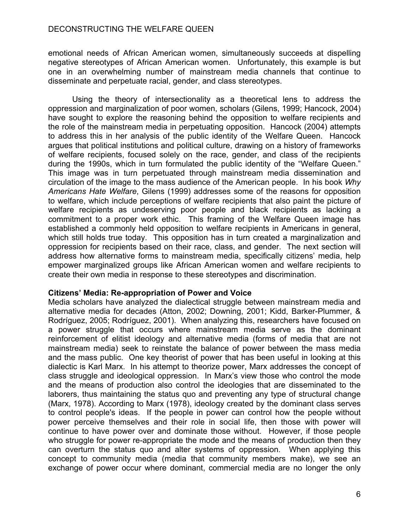emotional needs of African American women, simultaneously succeeds at dispelling negative stereotypes of African American women. Unfortunately, this example is but one in an overwhelming number of mainstream media channels that continue to disseminate and perpetuate racial, gender, and class stereotypes.

Using the theory of intersectionality as a theoretical lens to address the oppression and marginalization of poor women, scholars (Gilens, 1999; Hancock, 2004) have sought to explore the reasoning behind the opposition to welfare recipients and the role of the mainstream media in perpetuating opposition. Hancock (2004) attempts to address this in her analysis of the public identity of the Welfare Queen. Hancock argues that political institutions and political culture, drawing on a history of frameworks of welfare recipients, focused solely on the race, gender, and class of the recipients during the 1990s, which in turn formulated the public identity of the "Welfare Queen." This image was in turn perpetuated through mainstream media dissemination and circulation of the image to the mass audience of the American people. In his book *Why Americans Hate Welfare*, Gilens (1999) addresses some of the reasons for opposition to welfare, which include perceptions of welfare recipients that also paint the picture of welfare recipients as undeserving poor people and black recipients as lacking a commitment to a proper work ethic. This framing of the Welfare Queen image has established a commonly held opposition to welfare recipients in Americans in general, which still holds true today. This opposition has in turn created a marginalization and oppression for recipients based on their race, class, and gender. The next section will address how alternative forms to mainstream media, specifically citizens' media, help empower marginalized groups like African American women and welfare recipients to create their own media in response to these stereotypes and discrimination.

#### **Citizens' Media: Re-appropriation of Power and Voice**

Media scholars have analyzed the dialectical struggle between mainstream media and alternative media for decades (Atton, 2002; Downing, 2001; Kidd, Barker-Plummer, & Rodríguez, 2005; Rodríguez, 2001). When analyzing this, researchers have focused on a power struggle that occurs where mainstream media serve as the dominant reinforcement of elitist ideology and alternative media (forms of media that are not mainstream media) seek to reinstate the balance of power between the mass media and the mass public. One key theorist of power that has been useful in looking at this dialectic is Karl Marx. In his attempt to theorize power, Marx addresses the concept of class struggle and ideological oppression. In Marx's view those who control the mode and the means of production also control the ideologies that are disseminated to the laborers, thus maintaining the status quo and preventing any type of structural change (Marx, 1978). According to Marx (1978), ideology created by the dominant class serves to control people's ideas. If the people in power can control how the people without power perceive themselves and their role in social life, then those with power will continue to have power over and dominate those without. However, if those people who struggle for power re-appropriate the mode and the means of production then they can overturn the status quo and alter systems of oppression. When applying this concept to community media (media that community members make), we see an exchange of power occur where dominant, commercial media are no longer the only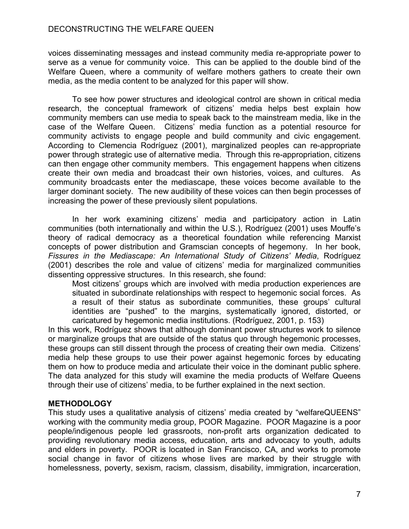voices disseminating messages and instead community media re-appropriate power to serve as a venue for community voice. This can be applied to the double bind of the Welfare Queen, where a community of welfare mothers gathers to create their own media, as the media content to be analyzed for this paper will show.

To see how power structures and ideological control are shown in critical media research, the conceptual framework of citizens' media helps best explain how community members can use media to speak back to the mainstream media, like in the case of the Welfare Queen. Citizens' media function as a potential resource for community activists to engage people and build community and civic engagement. According to Clemencia Rodríguez (2001), marginalized peoples can re-appropriate power through strategic use of alternative media. Through this re-appropriation, citizens can then engage other community members. This engagement happens when citizens create their own media and broadcast their own histories, voices, and cultures. As community broadcasts enter the mediascape, these voices become available to the larger dominant society. The new audibility of these voices can then begin processes of increasing the power of these previously silent populations.

In her work examining citizens' media and participatory action in Latin communities (both internationally and within the U.S.), Rodríguez (2001) uses Mouffe's theory of radical democracy as a theoretical foundation while referencing Marxist concepts of power distribution and Gramscian concepts of hegemony. In her book, *Fissures in the Mediascape: An International Study of Citizens' Media*, Rodríguez (2001) describes the role and value of citizens' media for marginalized communities dissenting oppressive structures. In this research, she found:

Most citizens' groups which are involved with media production experiences are situated in subordinate relationships with respect to hegemonic social forces. As a result of their status as subordinate communities, these groups' cultural identities are "pushed" to the margins, systematically ignored, distorted, or caricatured by hegemonic media institutions. (Rodríguez, 2001, p. 153)

In this work, Rodríguez shows that although dominant power structures work to silence or marginalize groups that are outside of the status quo through hegemonic processes, these groups can still dissent through the process of creating their own media. Citizens' media help these groups to use their power against hegemonic forces by educating them on how to produce media and articulate their voice in the dominant public sphere. The data analyzed for this study will examine the media products of Welfare Queens through their use of citizens' media, to be further explained in the next section.

# **METHODOLOGY**

This study uses a qualitative analysis of citizens' media created by "welfareQUEENS" working with the community media group, POOR Magazine. POOR Magazine is a poor people/indigenous people led grassroots, non-profit arts organization dedicated to providing revolutionary media access, education, arts and advocacy to youth, adults and elders in poverty. POOR is located in San Francisco, CA, and works to promote social change in favor of citizens whose lives are marked by their struggle with homelessness, poverty, sexism, racism, classism, disability, immigration, incarceration,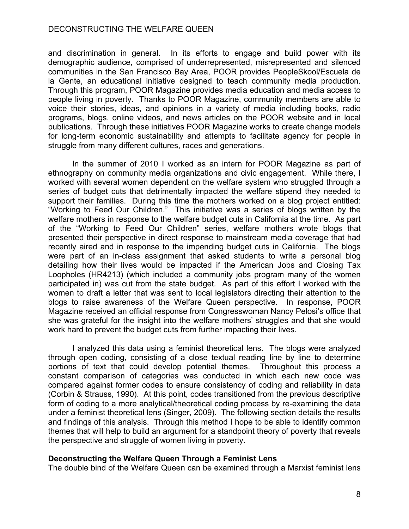and discrimination in general. In its efforts to engage and build power with its demographic audience, comprised of underrepresented, misrepresented and silenced communities in the San Francisco Bay Area, POOR provides PeopleSkool/Escuela de la Gente, an educational initiative designed to teach community media production. Through this program, POOR Magazine provides media education and media access to people living in poverty. Thanks to POOR Magazine, community members are able to voice their stories, ideas, and opinions in a variety of media including books, radio programs, blogs, online videos, and news articles on the POOR website and in local publications. Through these initiatives POOR Magazine works to create change models for long-term economic sustainability and attempts to facilitate agency for people in struggle from many different cultures, races and generations.

In the summer of 2010 I worked as an intern for POOR Magazine as part of ethnography on community media organizations and civic engagement. While there, I worked with several women dependent on the welfare system who struggled through a series of budget cuts that detrimentally impacted the welfare stipend they needed to support their families. During this time the mothers worked on a blog project entitled: "Working to Feed Our Children." This initiative was a series of blogs written by the welfare mothers in response to the welfare budget cuts in California at the time. As part of the "Working to Feed Our Children" series, welfare mothers wrote blogs that presented their perspective in direct response to mainstream media coverage that had recently aired and in response to the impending budget cuts in California. The blogs were part of an in-class assignment that asked students to write a personal blog detailing how their lives would be impacted if the American Jobs and Closing Tax Loopholes (HR4213) (which included a community jobs program many of the women participated in) was cut from the state budget. As part of this effort I worked with the women to draft a letter that was sent to local legislators directing their attention to the blogs to raise awareness of the Welfare Queen perspective. In response, POOR Magazine received an official response from Congresswoman Nancy Pelosi's office that she was grateful for the insight into the welfare mothers' struggles and that she would work hard to prevent the budget cuts from further impacting their lives.

I analyzed this data using a feminist theoretical lens. The blogs were analyzed through open coding, consisting of a close textual reading line by line to determine portions of text that could develop potential themes. Throughout this process a constant comparison of categories was conducted in which each new code was compared against former codes to ensure consistency of coding and reliability in data (Corbin & Strauss, 1990). At this point, codes transitioned from the previous descriptive form of coding to a more analytical/theoretical coding process by re-examining the data under a feminist theoretical lens (Singer, 2009). The following section details the results and findings of this analysis. Through this method I hope to be able to identify common themes that will help to build an argument for a standpoint theory of poverty that reveals the perspective and struggle of women living in poverty.

# **Deconstructing the Welfare Queen Through a Feminist Lens**

The double bind of the Welfare Queen can be examined through a Marxist feminist lens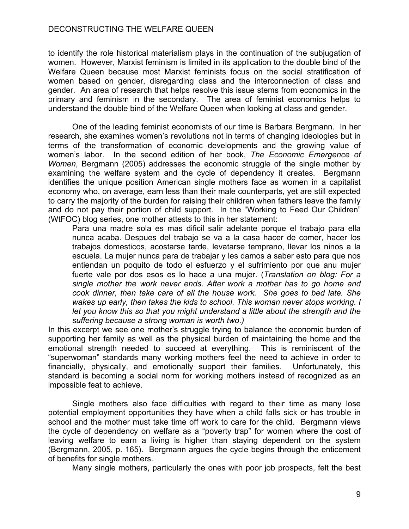to identify the role historical materialism plays in the continuation of the subjugation of women. However, Marxist feminism is limited in its application to the double bind of the Welfare Queen because most Marxist feminists focus on the social stratification of women based on gender, disregarding class and the interconnection of class and gender. An area of research that helps resolve this issue stems from economics in the primary and feminism in the secondary. The area of feminist economics helps to understand the double bind of the Welfare Queen when looking at class and gender.

One of the leading feminist economists of our time is Barbara Bergmann. In her research, she examines women's revolutions not in terms of changing ideologies but in terms of the transformation of economic developments and the growing value of women's labor. In the second edition of her book, *The Economic Emergence of Women*, Bergmann (2005) addresses the economic struggle of the single mother by examining the welfare system and the cycle of dependency it creates. Bergmann identifies the unique position American single mothers face as women in a capitalist economy who, on average, earn less than their male counterparts, yet are still expected to carry the majority of the burden for raising their children when fathers leave the family and do not pay their portion of child support. In the "Working to Feed Our Children" (WtFOC) blog series, one mother attests to this in her statement:

Para una madre sola es mas dificil salir adelante porque el trabajo para ella nunca acaba. Despues del trabajo se va a la casa hacer de comer, hacer los trabajos domesticos, acostarse tarde, levatarse temprano, llevar los ninos a la escuela. La mujer nunca para de trabajar y les damos a saber esto para que nos entiendan un poquito de todo el esfuerzo y el sufrimiento por que anu mujer fuerte vale por dos esos es lo hace a una mujer. (*Translation on blog: For a single mother the work never ends. After work a mother has to go home and cook dinner, then take care of all the house work. She goes to bed late. She wakes up early, then takes the kids to school. This woman never stops working. I let you know this so that you might understand a little about the strength and the suffering because a strong woman is worth two.)*

In this excerpt we see one mother's struggle trying to balance the economic burden of supporting her family as well as the physical burden of maintaining the home and the emotional strength needed to succeed at everything. This is reminiscent of the "superwoman" standards many working mothers feel the need to achieve in order to financially, physically, and emotionally support their families. Unfortunately, this standard is becoming a social norm for working mothers instead of recognized as an impossible feat to achieve.

Single mothers also face difficulties with regard to their time as many lose potential employment opportunities they have when a child falls sick or has trouble in school and the mother must take time off work to care for the child. Bergmann views the cycle of dependency on welfare as a "poverty trap" for women where the cost of leaving welfare to earn a living is higher than staying dependent on the system (Bergmann, 2005, p. 165). Bergmann argues the cycle begins through the enticement of benefits for single mothers.

Many single mothers, particularly the ones with poor job prospects, felt the best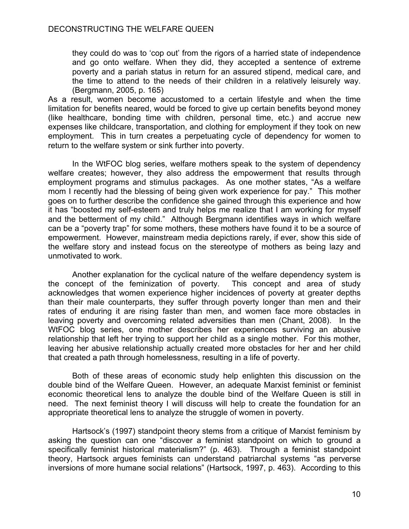they could do was to 'cop out' from the rigors of a harried state of independence and go onto welfare. When they did, they accepted a sentence of extreme poverty and a pariah status in return for an assured stipend, medical care, and the time to attend to the needs of their children in a relatively leisurely way. (Bergmann, 2005, p. 165)

As a result, women become accustomed to a certain lifestyle and when the time limitation for benefits neared, would be forced to give up certain benefits beyond money (like healthcare, bonding time with children, personal time, etc.) and accrue new expenses like childcare, transportation, and clothing for employment if they took on new employment. This in turn creates a perpetuating cycle of dependency for women to return to the welfare system or sink further into poverty.

In the WtFOC blog series, welfare mothers speak to the system of dependency welfare creates; however, they also address the empowerment that results through employment programs and stimulus packages. As one mother states, "As a welfare mom I recently had the blessing of being given work experience for pay." This mother goes on to further describe the confidence she gained through this experience and how it has "boosted my self-esteem and truly helps me realize that I am working for myself and the betterment of my child." Although Bergmann identifies ways in which welfare can be a "poverty trap" for some mothers, these mothers have found it to be a source of empowerment. However, mainstream media depictions rarely, if ever, show this side of the welfare story and instead focus on the stereotype of mothers as being lazy and unmotivated to work.

Another explanation for the cyclical nature of the welfare dependency system is the concept of the feminization of poverty. This concept and area of study acknowledges that women experience higher incidences of poverty at greater depths than their male counterparts, they suffer through poverty longer than men and their rates of enduring it are rising faster than men, and women face more obstacles in leaving poverty and overcoming related adversities than men (Chant, 2008). In the WtFOC blog series, one mother describes her experiences surviving an abusive relationship that left her trying to support her child as a single mother. For this mother, leaving her abusive relationship actually created more obstacles for her and her child that created a path through homelessness, resulting in a life of poverty.

Both of these areas of economic study help enlighten this discussion on the double bind of the Welfare Queen. However, an adequate Marxist feminist or feminist economic theoretical lens to analyze the double bind of the Welfare Queen is still in need. The next feminist theory I will discuss will help to create the foundation for an appropriate theoretical lens to analyze the struggle of women in poverty.

Hartsock's (1997) standpoint theory stems from a critique of Marxist feminism by asking the question can one "discover a feminist standpoint on which to ground a specifically feminist historical materialism?" (p. 463). Through a feminist standpoint theory, Hartsock argues feminists can understand patriarchal systems "as perverse inversions of more humane social relations" (Hartsock, 1997, p. 463). According to this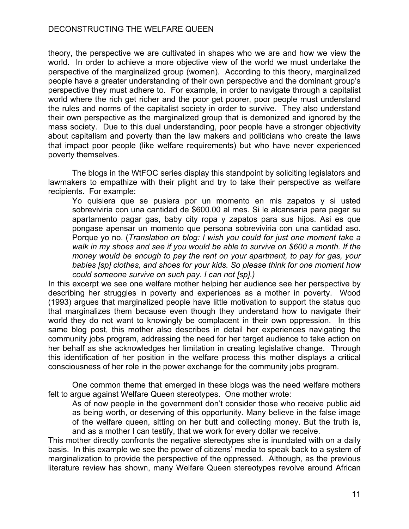theory, the perspective we are cultivated in shapes who we are and how we view the world. In order to achieve a more objective view of the world we must undertake the perspective of the marginalized group (women). According to this theory, marginalized people have a greater understanding of their own perspective and the dominant group's perspective they must adhere to. For example, in order to navigate through a capitalist world where the rich get richer and the poor get poorer, poor people must understand the rules and norms of the capitalist society in order to survive. They also understand their own perspective as the marginalized group that is demonized and ignored by the mass society. Due to this dual understanding, poor people have a stronger objectivity about capitalism and poverty than the law makers and politicians who create the laws that impact poor people (like welfare requirements) but who have never experienced poverty themselves.

The blogs in the WtFOC series display this standpoint by soliciting legislators and lawmakers to empathize with their plight and try to take their perspective as welfare recipients. For example:

Yo quisiera que se pusiera por un momento en mis zapatos y si usted sobreviviria con una cantidad de \$600.00 al mes. Si le alcansaria para pagar su apartamento pagar gas, baby city ropa y zapatos para sus hijos. Asi es que pongase apensar un momento que persona sobreviviria con una cantidad aso. Porque yo no. (*Translation on blog: I wish you could for just one moment take a walk in my shoes and see if you would be able to survive on \$600 a month. If the money would be enough to pay the rent on your apartment, to pay for gas, your babies [sp] clothes, and shoes for your kids. So please think for one moment how could someone survive on such pay. I can not [sp].)*

In this excerpt we see one welfare mother helping her audience see her perspective by describing her struggles in poverty and experiences as a mother in poverty. Wood (1993) argues that marginalized people have little motivation to support the status quo that marginalizes them because even though they understand how to navigate their world they do not want to knowingly be complacent in their own oppression. In this same blog post, this mother also describes in detail her experiences navigating the community jobs program, addressing the need for her target audience to take action on her behalf as she acknowledges her limitation in creating legislative change. Through this identification of her position in the welfare process this mother displays a critical consciousness of her role in the power exchange for the community jobs program.

One common theme that emerged in these blogs was the need welfare mothers felt to argue against Welfare Queen stereotypes. One mother wrote:

As of now people in the government don't consider those who receive public aid as being worth, or deserving of this opportunity. Many believe in the false image of the welfare queen, sitting on her butt and collecting money. But the truth is, and as a mother I can testify, that we work for every dollar we receive.

This mother directly confronts the negative stereotypes she is inundated with on a daily basis. In this example we see the power of citizens' media to speak back to a system of marginalization to provide the perspective of the oppressed. Although, as the previous literature review has shown, many Welfare Queen stereotypes revolve around African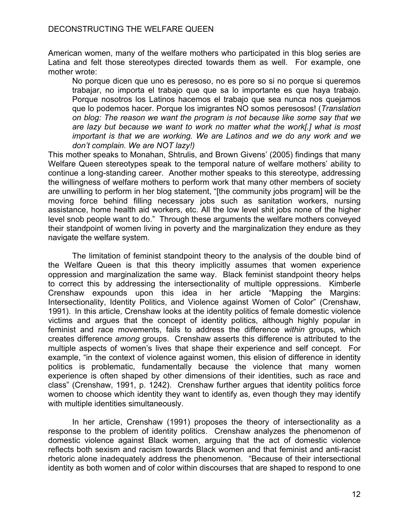American women, many of the welfare mothers who participated in this blog series are Latina and felt those stereotypes directed towards them as well. For example, one mother wrote:

No porque dicen que uno es peresoso, no es pore so si no porque si queremos trabajar, no importa el trabajo que que sa lo importante es que haya trabajo. Porque nosotros los Latinos hacemos el trabajo que sea nunca nos quejamos que lo podemos hacer. Porque los imigrantes NO somos peresosos! (*Translation on blog: The reason we want the program is not because like some say that we are lazy but because we want to work no matter what the work[.] what is most important is that we are working. We are Latinos and we do any work and we don't complain. We are NOT lazy!)*

This mother speaks to Monahan, Shtrulis, and Brown Givens' (2005) findings that many Welfare Queen stereotypes speak to the temporal nature of welfare mothers' ability to continue a long-standing career. Another mother speaks to this stereotype, addressing the willingness of welfare mothers to perform work that many other members of society are unwilling to perform in her blog statement, "[the community jobs program] will be the moving force behind filling necessary jobs such as sanitation workers, nursing assistance, home health aid workers, etc. All the low level shit jobs none of the higher level snob people want to do." Through these arguments the welfare mothers conveyed their standpoint of women living in poverty and the marginalization they endure as they navigate the welfare system.

The limitation of feminist standpoint theory to the analysis of the double bind of the Welfare Queen is that this theory implicitly assumes that women experience oppression and marginalization the same way. Black feminist standpoint theory helps to correct this by addressing the intersectionality of multiple oppressions. Kimberle Crenshaw expounds upon this idea in her article "Mapping the Margins: Intersectionality, Identity Politics, and Violence against Women of Color" (Crenshaw, 1991). In this article, Crenshaw looks at the identity politics of female domestic violence victims and argues that the concept of identity politics, although highly popular in feminist and race movements, fails to address the difference *within* groups, which creates difference *among* groups. Crenshaw asserts this difference is attributed to the multiple aspects of women's lives that shape their experience and self concept. For example, "in the context of violence against women, this elision of difference in identity politics is problematic, fundamentally because the violence that many women experience is often shaped by other dimensions of their identities, such as race and class" (Crenshaw, 1991, p. 1242). Crenshaw further argues that identity politics force women to choose which identity they want to identify as, even though they may identify with multiple identities simultaneously.

In her article, Crenshaw (1991) proposes the theory of intersectionality as a response to the problem of identity politics. Crenshaw analyzes the phenomenon of domestic violence against Black women, arguing that the act of domestic violence reflects both sexism and racism towards Black women and that feminist and anti-racist rhetoric alone inadequately address the phenomenon. "Because of their intersectional identity as both women and of color within discourses that are shaped to respond to one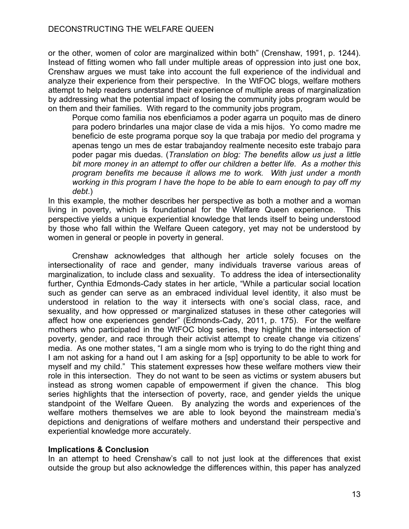or the other, women of color are marginalized within both" (Crenshaw, 1991, p. 1244). Instead of fitting women who fall under multiple areas of oppression into just one box, Crenshaw argues we must take into account the full experience of the individual and analyze their experience from their perspective. In the WtFOC blogs, welfare mothers attempt to help readers understand their experience of multiple areas of marginalization by addressing what the potential impact of losing the community jobs program would be on them and their families. With regard to the community jobs program,

Porque como familia nos ebenficiamos a poder agarra un poquito mas de dinero para podero brindarles una major clase de vida a mis hijos. Yo como madre me beneficio de este programa porque soy la que trabaja por medio del programa y apenas tengo un mes de estar trabajandoy realmente necesito este trabajo para poder pagar mis duedas. (*Translation on blog: The benefits allow us just a little bit more money in an attempt to offer our children a better life. As a mother this program benefits me because it allows me to work. With just under a month working in this program I have the hope to be able to earn enough to pay off my debt*.)

In this example, the mother describes her perspective as both a mother and a woman living in poverty, which is foundational for the Welfare Queen experience. This perspective yields a unique experiential knowledge that lends itself to being understood by those who fall within the Welfare Queen category, yet may not be understood by women in general or people in poverty in general.

Crenshaw acknowledges that although her article solely focuses on the intersectionality of race and gender, many individuals traverse various areas of marginalization, to include class and sexuality. To address the idea of intersectionality further, Cynthia Edmonds-Cady states in her article, "While a particular social location such as gender can serve as an embraced individual level identity, it also must be understood in relation to the way it intersects with one's social class, race, and sexuality, and how oppressed or marginalized statuses in these other categories will affect how one experiences gender" (Edmonds-Cady, 2011, p. 175). For the welfare mothers who participated in the WtFOC blog series, they highlight the intersection of poverty, gender, and race through their activist attempt to create change via citizens' media. As one mother states, "I am a single mom who is trying to do the right thing and I am not asking for a hand out I am asking for a [sp] opportunity to be able to work for myself and my child." This statement expresses how these welfare mothers view their role in this intersection. They do not want to be seen as victims or system abusers but instead as strong women capable of empowerment if given the chance. This blog series highlights that the intersection of poverty, race, and gender yields the unique standpoint of the Welfare Queen. By analyzing the words and experiences of the welfare mothers themselves we are able to look beyond the mainstream media's depictions and denigrations of welfare mothers and understand their perspective and experiential knowledge more accurately.

# **Implications & Conclusion**

In an attempt to heed Crenshaw's call to not just look at the differences that exist outside the group but also acknowledge the differences within, this paper has analyzed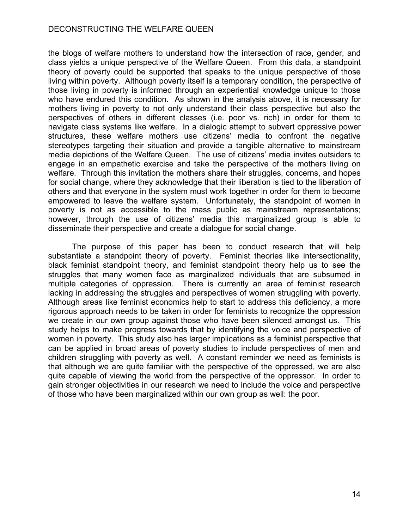the blogs of welfare mothers to understand how the intersection of race, gender, and class yields a unique perspective of the Welfare Queen. From this data, a standpoint theory of poverty could be supported that speaks to the unique perspective of those living within poverty. Although poverty itself is a temporary condition, the perspective of those living in poverty is informed through an experiential knowledge unique to those who have endured this condition. As shown in the analysis above, it is necessary for mothers living in poverty to not only understand their class perspective but also the perspectives of others in different classes (i.e. poor vs. rich) in order for them to navigate class systems like welfare. In a dialogic attempt to subvert oppressive power structures, these welfare mothers use citizens' media to confront the negative stereotypes targeting their situation and provide a tangible alternative to mainstream media depictions of the Welfare Queen. The use of citizens' media invites outsiders to engage in an empathetic exercise and take the perspective of the mothers living on welfare. Through this invitation the mothers share their struggles, concerns, and hopes for social change, where they acknowledge that their liberation is tied to the liberation of others and that everyone in the system must work together in order for them to become empowered to leave the welfare system. Unfortunately, the standpoint of women in poverty is not as accessible to the mass public as mainstream representations; however, through the use of citizens' media this marginalized group is able to disseminate their perspective and create a dialogue for social change.

The purpose of this paper has been to conduct research that will help substantiate a standpoint theory of poverty. Feminist theories like intersectionality, black feminist standpoint theory, and feminist standpoint theory help us to see the struggles that many women face as marginalized individuals that are subsumed in multiple categories of oppression. There is currently an area of feminist research lacking in addressing the struggles and perspectives of women struggling with poverty. Although areas like feminist economics help to start to address this deficiency, a more rigorous approach needs to be taken in order for feminists to recognize the oppression we create in our own group against those who have been silenced amongst us. This study helps to make progress towards that by identifying the voice and perspective of women in poverty. This study also has larger implications as a feminist perspective that can be applied in broad areas of poverty studies to include perspectives of men and children struggling with poverty as well. A constant reminder we need as feminists is that although we are quite familiar with the perspective of the oppressed, we are also quite capable of viewing the world from the perspective of the oppressor. In order to gain stronger objectivities in our research we need to include the voice and perspective of those who have been marginalized within our own group as well: the poor.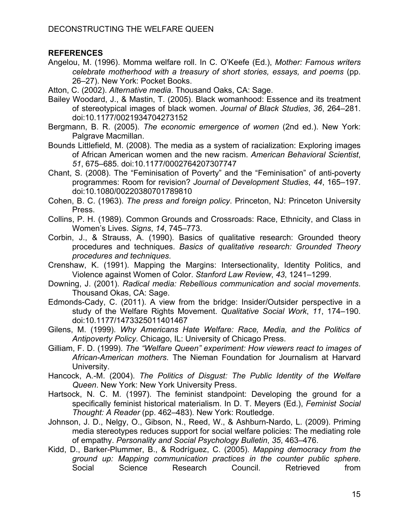# **REFERENCES**

Angelou, M. (1996). Momma welfare roll. In C. O'Keefe (Ed.), *Mother: Famous writers celebrate motherhood with a treasury of short stories, essays, and poems* (pp. 26–27). New York: Pocket Books.

Atton, C. (2002). *Alternative media*. Thousand Oaks, CA: Sage.

- Bailey Woodard, J., & Mastin, T. (2005). Black womanhood: Essence and its treatment of stereotypical images of black women. *Journal of Black Studies*, *36*, 264–281. doi:10.1177/0021934704273152
- Bergmann, B. R. (2005). *The economic emergence of women* (2nd ed.). New York: Palgrave Macmillan.
- Bounds Littlefield, M. (2008). The media as a system of racialization: Exploring images of African American women and the new racism. *American Behavioral Scientist*, *51*, 675–685. doi:10.1177/0002764207307747
- Chant, S. (2008). The "Feminisation of Poverty" and the "Feminisation" of anti-poverty programmes: Room for revision? *Journal of Development Studies*, *44*, 165–197. doi:10.1080/00220380701789810
- Cohen, B. C. (1963). *The press and foreign policy*. Princeton, NJ: Princeton University Press.
- Collins, P. H. (1989). Common Grounds and Crossroads: Race, Ethnicity, and Class in Women's Lives. *Signs*, *14*, 745–773.
- Corbin, J., & Strauss, A. (1990). Basics of qualitative research: Grounded theory procedures and techniques. *Basics of qualitative research: Grounded Theory procedures and techniques*.
- Crenshaw, K. (1991). Mapping the Margins: Intersectionality, Identity Politics, and Violence against Women of Color. *Stanford Law Review*, *43*, 1241–1299.
- Downing, J. (2001). *Radical media: Rebellious communication and social movements*. Thousand Okas, CA: Sage.
- Edmonds-Cady, C. (2011). A view from the bridge: Insider/Outsider perspective in a study of the Welfare Rights Movement. *Qualitative Social Work*, *11*, 174–190. doi:10.1177/1473325011401467
- Gilens, M. (1999). *Why Americans Hate Welfare: Race, Media, and the Politics of Antipoverty Policy*. Chicago, IL: University of Chicago Press.
- Gilliam, F. D. (1999). *The "Welfare Queen" experiment: How viewers react to images of African-American mothers*. The Nieman Foundation for Journalism at Harvard University.
- Hancock, A.-M. (2004). *The Politics of Disgust: The Public Identity of the Welfare Queen*. New York: New York University Press.
- Hartsock, N. C. M. (1997). The feminist standpoint: Developing the ground for a specifically feminist historical materialism. In D. T. Meyers (Ed.), *Feminist Social Thought: A Reader* (pp. 462–483). New York: Routledge.
- Johnson, J. D., Nelgy, O., Gibson, N., Reed, W., & Ashburn-Nardo, L. (2009). Priming media stereotypes reduces support for social welfare policies: The mediating role of empathy. *Personality and Social Psychology Bulletin*, *35*, 463–476.
- Kidd, D., Barker-Plummer, B., & Rodríguez, C. (2005). *Mapping democracy from the ground up: Mapping communication practices in the counter public sphere*. Social Science Research Council. Retrieved from